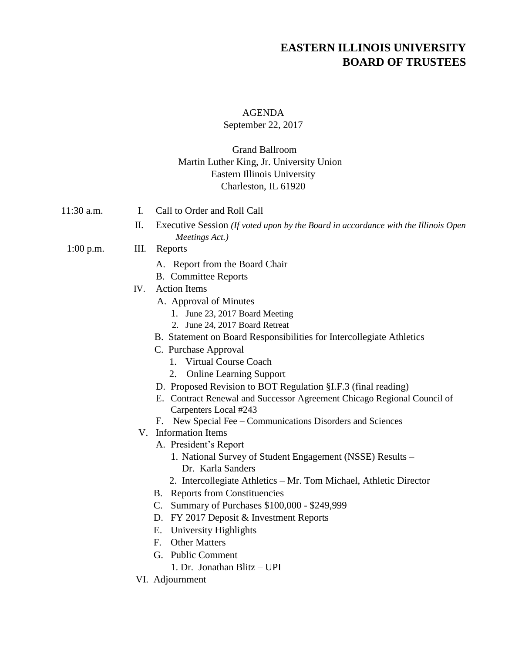# **EASTERN ILLINOIS UNIVERSITY BOARD OF TRUSTEES**

#### AGENDA

#### September 22, 2017

### Grand Ballroom Martin Luther King, Jr. University Union Eastern Illinois University Charleston, IL 61920

- 11:30 a.m. I. Call to Order and Roll Call
	- II. Executive Session *(If voted upon by the Board in accordance with the Illinois Open Meetings Act.)*

#### 1:00 p.m. III. Reports

- A. Report from the Board Chair
- B. Committee Reports
- IV. Action Items
	- A. Approval of Minutes
		- 1. June 23, 2017 Board Meeting
		- 2. June 24, 2017 Board Retreat
	- B. Statement on Board Responsibilities for Intercollegiate Athletics
	- C. Purchase Approval
		- 1. Virtual Course Coach
		- 2. Online Learning Support
	- D. Proposed Revision to BOT Regulation §I.F.3 (final reading)
	- E. Contract Renewal and Successor Agreement Chicago Regional Council of Carpenters Local #243
	- F. New Special Fee Communications Disorders and Sciences
	- V. Information Items
		- A. President's Report
			- 1. National Survey of Student Engagement (NSSE) Results Dr. Karla Sanders
			- 2. Intercollegiate Athletics Mr. Tom Michael, Athletic Director
		- B. Reports from Constituencies
		- C. Summary of Purchases \$100,000 \$249,999
		- D. FY 2017 Deposit & Investment Reports
		- E. University Highlights
		- F. Other Matters
		- G. Public Comment
			- 1. Dr. Jonathan Blitz UPI
- VI. Adjournment